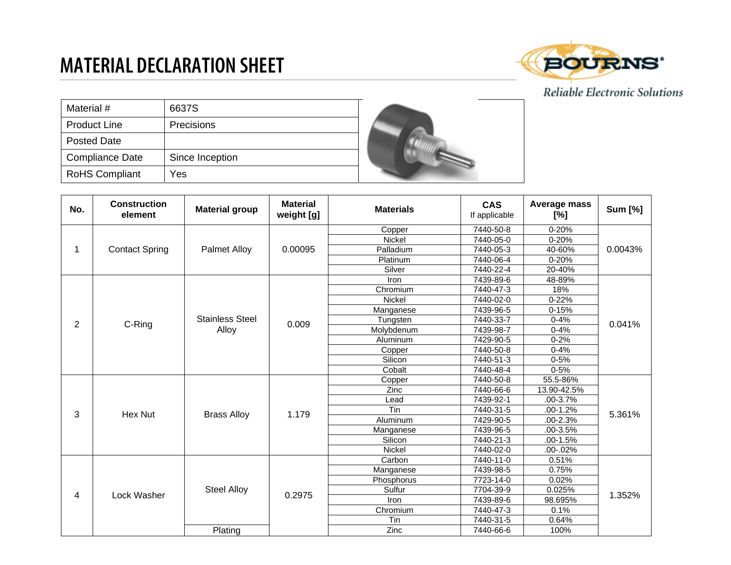## **MATERIAL DECLARATION SHEET**



## Reliable Electronic Solutions

| Material #             | 6637S           |  |
|------------------------|-----------------|--|
| <b>Product Line</b>    | Precisions      |  |
| Posted Date            |                 |  |
| <b>Compliance Date</b> | Since Inception |  |
| <b>RoHS Compliant</b>  | Yes             |  |

| No. | <b>Construction</b><br>element | <b>Material group</b>  | <b>Material</b><br>weight [g] | <b>Materials</b> | <b>CAS</b><br>If applicable | Average mass<br>$[\%]$ | <b>Sum [%]</b> |
|-----|--------------------------------|------------------------|-------------------------------|------------------|-----------------------------|------------------------|----------------|
|     | <b>Contact Spring</b>          |                        |                               | Copper           | 7440-50-8                   | $0 - 20%$              | 0.0043%        |
|     |                                | <b>Palmet Alloy</b>    | 0.00095                       | Nickel           | 7440-05-0                   | $0 - 20%$              |                |
|     |                                |                        |                               | Palladium        | 7440-05-3                   | 40-60%                 |                |
|     |                                |                        |                               | Platinum         | 7440-06-4                   | $0 - 20%$              |                |
|     |                                |                        |                               | Silver           | 7440-22-4                   | 20-40%                 |                |
|     |                                |                        |                               | Iron             | 7439-89-6                   | 48-89%                 |                |
|     |                                |                        |                               | Chromium         | 7440-47-3                   | 18%                    |                |
|     |                                |                        |                               | Nickel           | 7440-02-0                   | $0 - 22%$              |                |
|     |                                |                        |                               | Manganese        | 7439-96-5                   | $0 - 15%$              |                |
| 2   | C-Ring                         | <b>Stainless Steel</b> | 0.009                         | Tungsten         | 7440-33-7                   | $0 - 4%$               | 0.041%         |
|     |                                | Alloy                  |                               | Molybdenum       | 7439-98-7                   | $0 - 4%$               |                |
|     |                                |                        |                               | Aluminum         | 7429-90-5                   | $0 - 2%$               |                |
|     |                                |                        |                               | Copper           | 7440-50-8                   | $0 - 4%$               |                |
|     |                                |                        |                               | Silicon          | 7440-51-3                   | $0 - 5%$               |                |
|     |                                |                        |                               | Cobalt           | 7440-48-4                   | $0 - 5%$               |                |
|     | Hex Nut                        | <b>Brass Alloy</b>     | 1.179                         | Copper           | 7440-50-8                   | 55.5-86%               | 5.361%         |
|     |                                |                        |                               | Zinc             | 7440-66-6                   | 13.90-42.5%            |                |
|     |                                |                        |                               | Lead             | 7439-92-1                   | .00-3.7%               |                |
| 3   |                                |                        |                               | Tin              | 7440-31-5                   | .00-1.2%               |                |
|     |                                |                        |                               | Aluminum         | 7429-90-5                   | .00-2.3%               |                |
|     |                                |                        |                               | Manganese        | 7439-96-5                   | .00-3.5%               |                |
|     |                                |                        |                               | Silicon          | 7440-21-3                   | $.00-1.5%$             |                |
|     |                                |                        |                               | Nickel           | 7440-02-0                   | $.00 - .02%$           |                |
|     |                                | <b>Steel Alloy</b>     | 0.2975                        | Carbon           | 7440-11-0                   | 0.51%                  | 1.352%         |
|     |                                |                        |                               | Manganese        | 7439-98-5                   | 0.75%                  |                |
|     |                                |                        |                               | Phosphorus       | 7723-14-0                   | 0.02%                  |                |
| 4   | Lock Washer                    |                        |                               | Sulfur           | 7704-39-9                   | 0.025%                 |                |
|     |                                |                        |                               | <b>Iron</b>      | 7439-89-6                   | 98.695%                |                |
|     |                                |                        |                               | Chromium         | 7440-47-3                   | 0.1%                   |                |
|     |                                |                        |                               | Tin              | 7440-31-5                   | 0.64%                  |                |
|     |                                | Plating                |                               | <b>Zinc</b>      | 7440-66-6                   | 100%                   |                |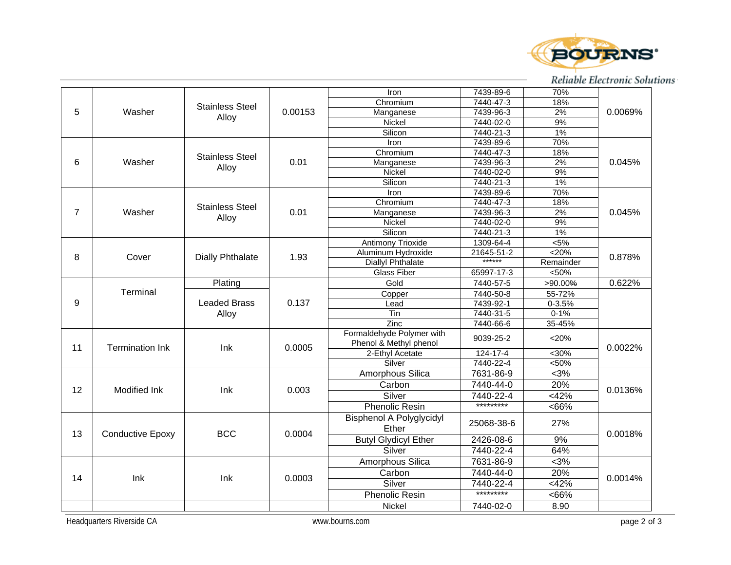

## Reliable Electronic Solutions

|                |                         |                                 |         | Iron                        | 7439-89-6  | 70%        |         |
|----------------|-------------------------|---------------------------------|---------|-----------------------------|------------|------------|---------|
| 5              | Washer                  | <b>Stainless Steel</b>          | 0.00153 | Chromium                    | 7440-47-3  | 18%        | 0.0069% |
|                |                         |                                 |         | Manganese                   | 7439-96-3  | 2%         |         |
|                |                         | Alloy                           |         | <b>Nickel</b>               | 7440-02-0  | 9%         |         |
|                |                         |                                 |         | Silicon                     | 7440-21-3  | 1%         |         |
|                |                         |                                 |         | Iron                        | 7439-89-6  | 70%        |         |
|                |                         |                                 |         | Chromium                    | 7440-47-3  | 18%        |         |
| 6              | Washer                  | <b>Stainless Steel</b><br>Alloy | 0.01    | Manganese                   | 7439-96-3  | 2%         | 0.045%  |
|                |                         |                                 |         | Nickel                      | 7440-02-0  | 9%         |         |
|                |                         |                                 |         | Silicon                     | 7440-21-3  | 1%         |         |
|                |                         |                                 |         | Iron                        | 7439-89-6  | 70%        |         |
|                |                         |                                 |         | Chromium                    | 7440-47-3  | 18%        |         |
| $\overline{7}$ | Washer                  | <b>Stainless Steel</b>          | 0.01    | Manganese                   | 7439-96-3  | 2%         | 0.045%  |
|                |                         | Alloy                           |         | Nickel                      | 7440-02-0  | 9%         |         |
|                |                         |                                 |         | Silicon                     | 7440-21-3  | $1\%$      |         |
|                |                         |                                 |         | Antimony Trioxide           | 1309-64-4  | $5\%$      |         |
|                |                         |                                 |         | Aluminum Hydroxide          | 21645-51-2 | $<$ 20%    |         |
| 8              | Cover                   | <b>Dially Phthalate</b>         | 1.93    | <b>Diallyl Phthalate</b>    | ******     | Remainder  | 0.878%  |
|                |                         |                                 |         | <b>Glass Fiber</b>          | 65997-17-3 | < 50%      |         |
|                |                         | Plating                         |         | Gold                        | 7440-57-5  | >90.00%    | 0.622%  |
|                | Terminal                | <b>Leaded Brass</b>             |         | Copper                      | 7440-50-8  | 55-72%     |         |
| 9              |                         |                                 | 0.137   | Lead                        | 7439-92-1  | $0 - 3.5%$ |         |
|                |                         | Alloy                           |         | Tin                         | 7440-31-5  | $0 - 1%$   |         |
|                |                         |                                 |         | $\overline{Z}$ inc          | 7440-66-6  | 35-45%     |         |
|                |                         |                                 |         | Formaldehyde Polymer with   |            |            |         |
|                | <b>Termination Ink</b>  | Ink                             | 0.0005  | Phenol & Methyl phenol      | 9039-25-2  | < 20%      | 0.0022% |
| 11             |                         |                                 |         | 2-Ethyl Acetate             | 124-17-4   | $<30\%$    |         |
|                |                         |                                 |         | Silver                      | 7440-22-4  | < 50%      |         |
|                |                         |                                 |         | Amorphous Silica            | 7631-86-9  | $<$ 3%     |         |
|                |                         |                                 |         | Carbon                      | 7440-44-0  | 20%        |         |
| 12             | <b>Modified Ink</b>     | Ink                             | 0.003   | Silver                      | 7440-22-4  | <42%       | 0.0136% |
|                |                         |                                 |         | <b>Phenolic Resin</b>       | *********  | <66%       |         |
|                |                         |                                 |         |                             |            |            |         |
|                |                         |                                 |         | Bisphenol A Polyglycidyl    | 25068-38-6 | 27%        |         |
| 13             | <b>Conductive Epoxy</b> | <b>BCC</b>                      | 0.0004  | Ether                       |            |            | 0.0018% |
|                |                         |                                 |         | <b>Butyl Glydicyl Ether</b> | 2426-08-6  | 9%         |         |
|                |                         |                                 |         | Silver                      | 7440-22-4  | 64%        |         |
|                |                         |                                 |         | Amorphous Silica            | 7631-86-9  | 5.3%       |         |
|                | lnk                     | Ink                             | 0.0003  | Carbon                      | 7440-44-0  | 20%        | 0.0014% |
| 14             |                         |                                 |         | Silver                      | 7440-22-4  | $<$ 42%    |         |
|                |                         |                                 |         | <b>Phenolic Resin</b>       | *********  | <66%       |         |
|                |                         |                                 |         | Nickel                      | 7440-02-0  | 8.90       |         |
|                |                         |                                 |         |                             |            |            |         |